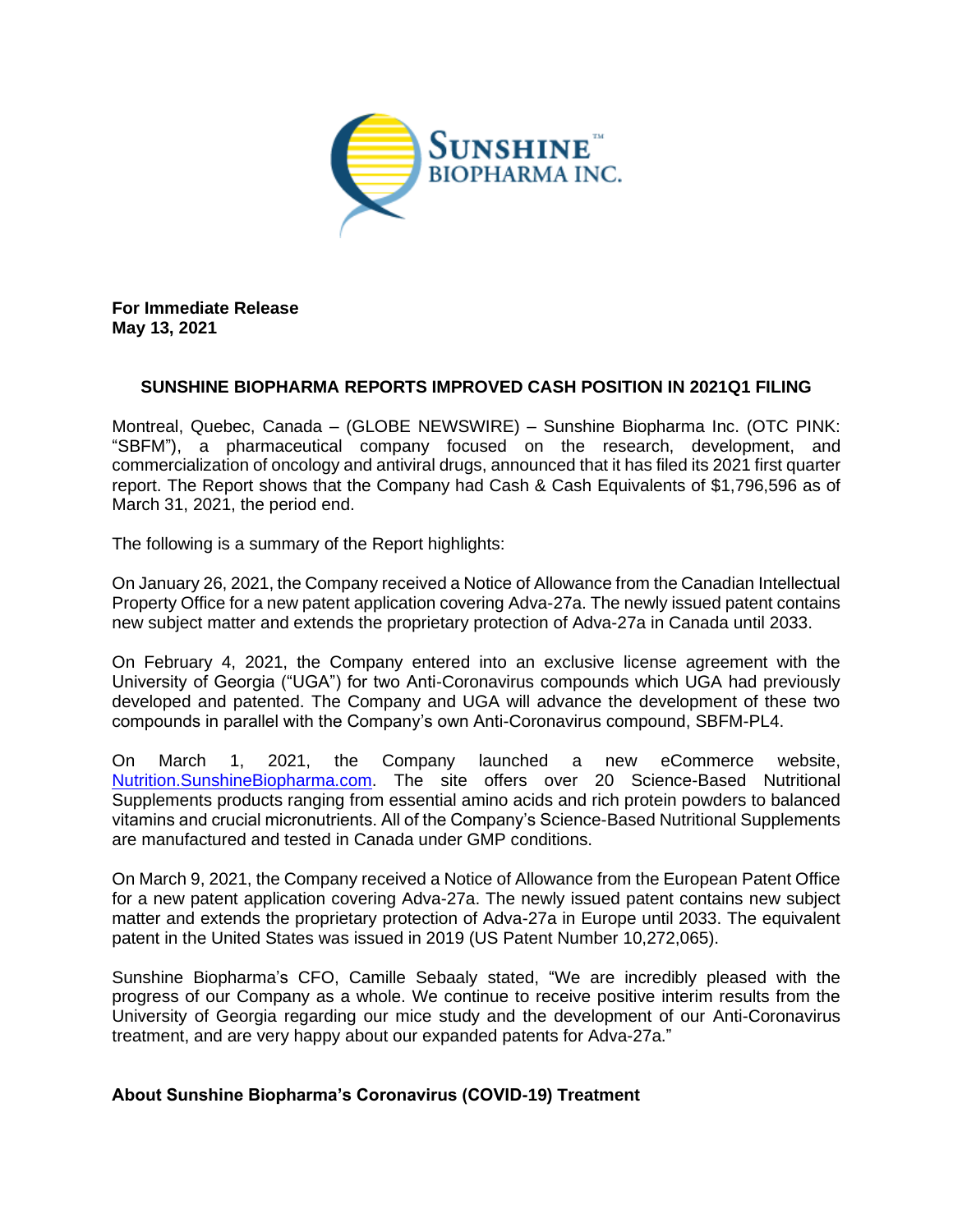

**For Immediate Release May 13, 2021**

## **SUNSHINE BIOPHARMA REPORTS IMPROVED CASH POSITION IN 2021Q1 FILING**

Montreal, Quebec, Canada – (GLOBE NEWSWIRE) – Sunshine Biopharma Inc. (OTC PINK: "SBFM"), a pharmaceutical company focused on the research, development, and commercialization of oncology and antiviral drugs, announced that it has filed its 2021 first quarter report. The Report shows that the Company had Cash & Cash Equivalents of \$1,796,596 as of March 31, 2021, the period end.

The following is a summary of the Report highlights:

On January 26, 2021, the Company received a Notice of Allowance from the Canadian Intellectual Property Office for a new patent application covering Adva-27a. The newly issued patent contains new subject matter and extends the proprietary protection of Adva-27a in Canada until 2033.

On February 4, 2021, the Company entered into an exclusive license agreement with the University of Georgia ("UGA") for two Anti-Coronavirus compounds which UGA had previously developed and patented. The Company and UGA will advance the development of these two compounds in parallel with the Company's own Anti-Coronavirus compound, SBFM-PL4.

On March 1, 2021, the Company launched a new eCommerce website, Nutrition.SunshineBiopharma.com. The site offers over 20 Science-Based Nutritional Supplements products ranging from essential amino acids and rich protein powders to balanced vitamins and crucial micronutrients. All of the Company's Science-Based Nutritional Supplements are manufactured and tested in Canada under GMP conditions.

On March 9, 2021, the Company received a Notice of Allowance from the European Patent Office for a new patent application covering Adva-27a. The newly issued patent contains new subject matter and extends the proprietary protection of Adva-27a in Europe until 2033. The equivalent patent in the United States was issued in 2019 (US Patent Number 10,272,065).

Sunshine Biopharma's CFO, Camille Sebaaly stated, "We are incredibly pleased with the progress of our Company as a whole. We continue to receive positive interim results from the University of Georgia regarding our mice study and the development of our Anti-Coronavirus treatment, and are very happy about our expanded patents for Adva-27a."

## **About Sunshine Biopharma's Coronavirus (COVID-19) Treatment**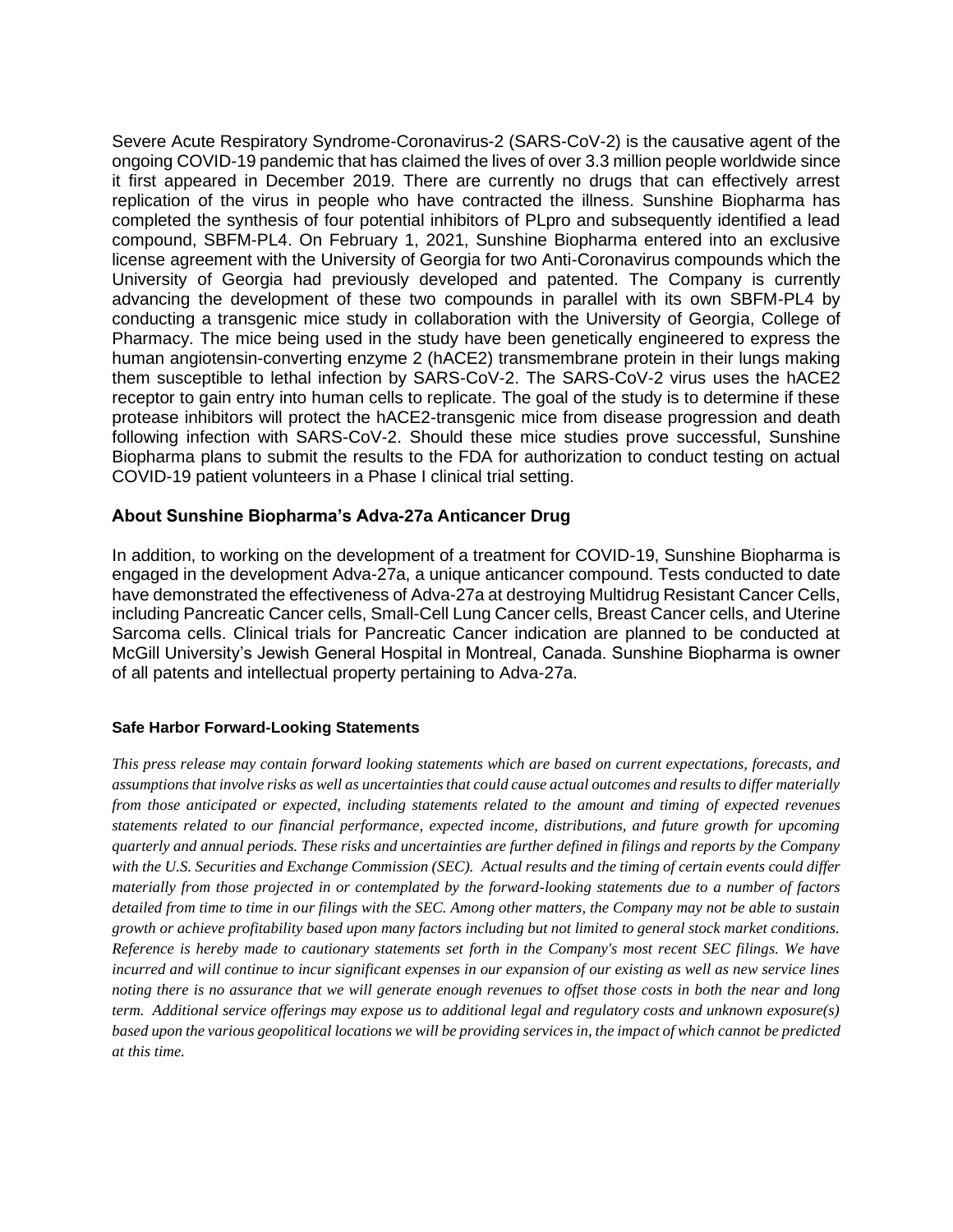Severe Acute Respiratory Syndrome-Coronavirus-2 (SARS-CoV-2) is the causative agent of the ongoing COVID-19 pandemic that has claimed the lives of over 3.3 million people worldwide since it first appeared in December 2019. There are currently no drugs that can effectively arrest replication of the virus in people who have contracted the illness. Sunshine Biopharma has completed the synthesis of four potential inhibitors of PLpro and subsequently identified a lead compound, SBFM-PL4. On February 1, 2021, Sunshine Biopharma entered into an exclusive license agreement with the University of Georgia for two Anti-Coronavirus compounds which the University of Georgia had previously developed and patented. The Company is currently advancing the development of these two compounds in parallel with its own SBFM-PL4 by conducting a transgenic mice study in collaboration with the University of Georgia, College of Pharmacy. The mice being used in the study have been genetically engineered to express the human angiotensin-converting enzyme 2 (hACE2) transmembrane protein in their lungs making them susceptible to lethal infection by SARS-CoV-2. The SARS-CoV-2 virus uses the hACE2 receptor to gain entry into human cells to replicate. The goal of the study is to determine if these protease inhibitors will protect the hACE2-transgenic mice from disease progression and death following infection with SARS-CoV-2. Should these mice studies prove successful, Sunshine Biopharma plans to submit the results to the FDA for authorization to conduct testing on actual COVID-19 patient volunteers in a Phase I clinical trial setting.

## **About Sunshine Biopharma's Adva-27a Anticancer Drug**

In addition, to working on the development of a treatment for COVID-19, Sunshine Biopharma is engaged in the development Adva-27a, a unique anticancer compound. Tests conducted to date have demonstrated the effectiveness of Adva-27a at destroying Multidrug Resistant Cancer Cells, including Pancreatic Cancer cells, Small-Cell Lung Cancer cells, Breast Cancer cells, and Uterine Sarcoma cells. Clinical trials for Pancreatic Cancer indication are planned to be conducted at McGill University's Jewish General Hospital in Montreal, Canada. Sunshine Biopharma is owner of all patents and intellectual property pertaining to Adva-27a.

## **Safe Harbor Forward-Looking Statements**

*This press release may contain forward looking statements which are based on current expectations, forecasts, and assumptions that involve risks as well as uncertainties that could cause actual outcomes and results to differ materially from those anticipated or expected, including statements related to the amount and timing of expected revenues statements related to our financial performance, expected income, distributions, and future growth for upcoming quarterly and annual periods. These risks and uncertainties are further defined in filings and reports by the Company with the U.S. Securities and Exchange Commission (SEC). Actual results and the timing of certain events could differ materially from those projected in or contemplated by the forward-looking statements due to a number of factors detailed from time to time in our filings with the SEC. Among other matters, the Company may not be able to sustain growth or achieve profitability based upon many factors including but not limited to general stock market conditions. Reference is hereby made to cautionary statements set forth in the Company's most recent SEC filings. We have incurred and will continue to incur significant expenses in our expansion of our existing as well as new service lines noting there is no assurance that we will generate enough revenues to offset those costs in both the near and long term. Additional service offerings may expose us to additional legal and regulatory costs and unknown exposure(s) based upon the various geopolitical locations we will be providing services in, the impact of which cannot be predicted at this time.*